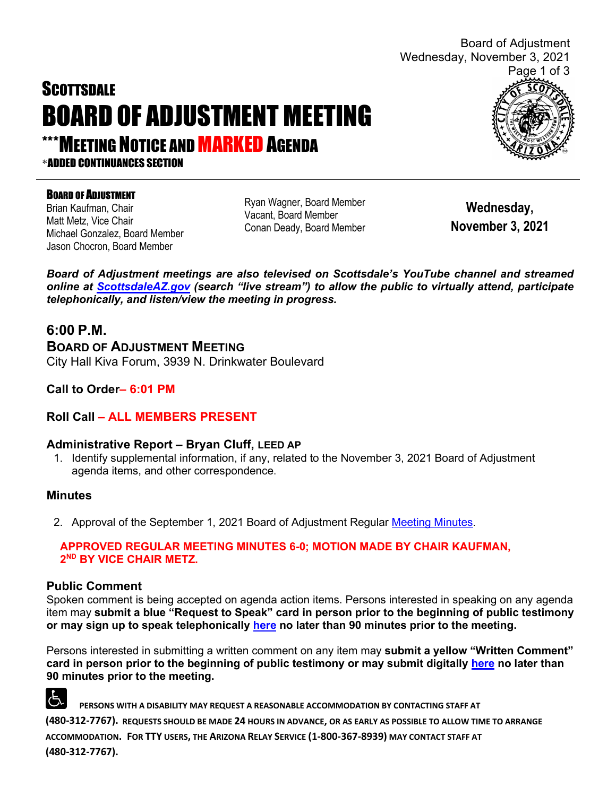# **SCOTTSDALE** BOARD OF ADJUSTMENT MEETING

**\*MEETING NOTICE AND MARKED AGENDA** 

\*ADDED CONTINUANCES SECTION

#### **BOARD OF ADJUSTMENT**

Brian Kaufman, Chair Matt Metz, Vice Chair Michael Gonzalez, Board Member Jason Chocron, Board Member

Ryan Wagner, Board Member Vacant, Board Member Conan Deady, Board Member

**Wednesday, November 3, 2021**

*Board of Adjustment meetings are also televised on Scottsdale's YouTube channel and streamed online at [ScottsdaleAZ.gov](http://www.scottsdaleaz.gov/) (search "live stream") to allow the public to virtually attend, participate telephonically, and listen/view the meeting in progress.*

#### **6:00 P.M.**

**BOARD OF ADJUSTMENT MEETING**  City Hall Kiva Forum, 3939 N. Drinkwater Boulevard

**Call to Order– 6:01 PM**

#### **Roll Call – ALL MEMBERS PRESENT**

#### **Administrative Report – Bryan Cluff, LEED AP**

1. Identify supplemental information, if any, related to the November 3, 2021 Board of Adjustment agenda items, and other correspondence.

#### **Minutes**

2. Approval of the September 1, 2021 Board of Adjustment Regular [Meeting Minutes.](https://eservices.scottsdaleaz.gov/planning/projectsummary/unrelated_documents/BOAMINUTES09012021.pdf)

#### **APPROVED REGULAR MEETING MINUTES 6-0; MOTION MADE BY CHAIR KAUFMAN, 2ND BY VICE CHAIR METZ.**

#### **Public Comment**

Spoken comment is being accepted on agenda action items. Persons interested in speaking on any agenda item may **submit a blue "Request to Speak" card in person prior to the beginning of public testimony or may sign up to speak telephonically [here](https://www.scottsdaleaz.gov/boards/board-of-adjustment/spoken-comment) no later than 90 minutes prior to the meeting.**

Persons interested in submitting a written comment on any item may **submit a yellow "Written Comment" card in person prior to the beginning of public testimony or may submit digitally [here](https://www.scottsdaleaz.gov/boards/board-of-adjustment/public-comment) no later than 90 minutes prior to the meeting.**

占 **PERSONS WITH A DISABILITY MAY REQUEST A REASONABLE ACCOMMODATION BY CONTACTING STAFF AT (480-312-7767). REQUESTS SHOULD BE MADE 24 HOURS IN ADVANCE, OR AS EARLY AS POSSIBLE TO ALLOW TIME TO ARRANGE ACCOMMODATION. FOR TTY USERS, THE ARIZONA RELAY SERVICE (1-800-367-8939) MAY CONTACT STAFF AT (480-312-7767).** 



Board of Adjustment

Wednesday, November 3, 2021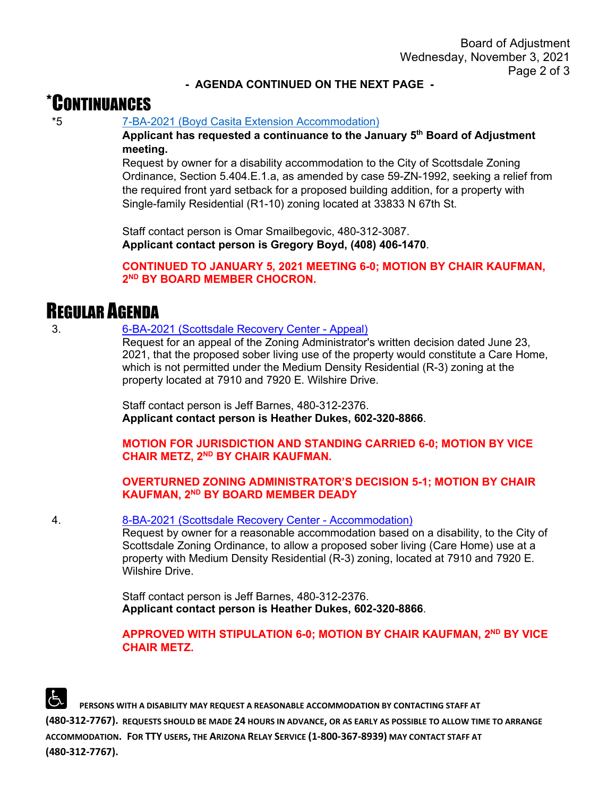#### **- AGENDA CONTINUED ON THE NEXT PAGE -**

## \*CONTINUANCES

\*5 [7-BA-2021 \(Boyd Casita Extension Accommodation\)](https://eservices.scottsdaleaz.gov/planning/projectsummary/ba_reports/BA_7_BA_2021.pdf)

**Applicant has requested a continuance to the January 5th Board of Adjustment meeting.**

Request by owner for a disability accommodation to the City of Scottsdale Zoning Ordinance, Section 5.404.E.1.a, as amended by case 59-ZN-1992, seeking a relief from the required front yard setback for a proposed building addition, for a property with Single-family Residential (R1-10) zoning located at 33833 N 67th St.

Staff contact person is Omar Smailbegovic, 480-312-3087. **Applicant contact person is Gregory Boyd, (408) 406-1470**.

**CONTINUED TO JANUARY 5, 2021 MEETING 6-0; MOTION BY CHAIR KAUFMAN, 2ND BY BOARD MEMBER CHOCRON.**

### REGULAR AGENDA

3. [6-BA-2021 \(Scottsdale Recovery Center -](https://eservices.scottsdaleaz.gov/planning/projectsummary/ba_reports/BA_6_BA_2021.pdf) Appeal)

Request for an appeal of the Zoning Administrator's written decision dated June 23, 2021, that the proposed sober living use of the property would constitute a Care Home, which is not permitted under the Medium Density Residential (R-3) zoning at the property located at 7910 and 7920 E. Wilshire Drive.

Staff contact person is Jeff Barnes, 480-312-2376. **Applicant contact person is Heather Dukes, 602-320-8866**.

**MOTION FOR JURISDICTION AND STANDING CARRIED 6-0; MOTION BY VICE CHAIR METZ, 2ND BY CHAIR KAUFMAN.**

#### **OVERTURNED ZONING ADMINISTRATOR'S DECISION 5-1; MOTION BY CHAIR KAUFMAN, 2ND BY BOARD MEMBER DEADY**

4. [8-BA-2021 \(Scottsdale Recovery Center -](https://eservices.scottsdaleaz.gov/planning/projectsummary/ba_reports/BA_8_BA_2021.pdf) Accommodation)

Request by owner for a reasonable accommodation based on a disability, to the City of Scottsdale Zoning Ordinance, to allow a proposed sober living (Care Home) use at a property with Medium Density Residential (R-3) zoning, located at 7910 and 7920 E. Wilshire Drive.

Staff contact person is Jeff Barnes, 480-312-2376. **Applicant contact person is Heather Dukes, 602-320-8866**.

#### **APPROVED WITH STIPULATION 6-0; MOTION BY CHAIR KAUFMAN, 2<sup>ND</sup> BY VICE CHAIR METZ.**

 **PERSONS WITH A DISABILITY MAY REQUEST A REASONABLE ACCOMMODATION BY CONTACTING STAFF AT (480-312-7767). REQUESTS SHOULD BE MADE 24 HOURS IN ADVANCE, OR AS EARLY AS POSSIBLE TO ALLOW TIME TO ARRANGE ACCOMMODATION. FOR TTY USERS, THE ARIZONA RELAY SERVICE (1-800-367-8939) MAY CONTACT STAFF AT (480-312-7767).**